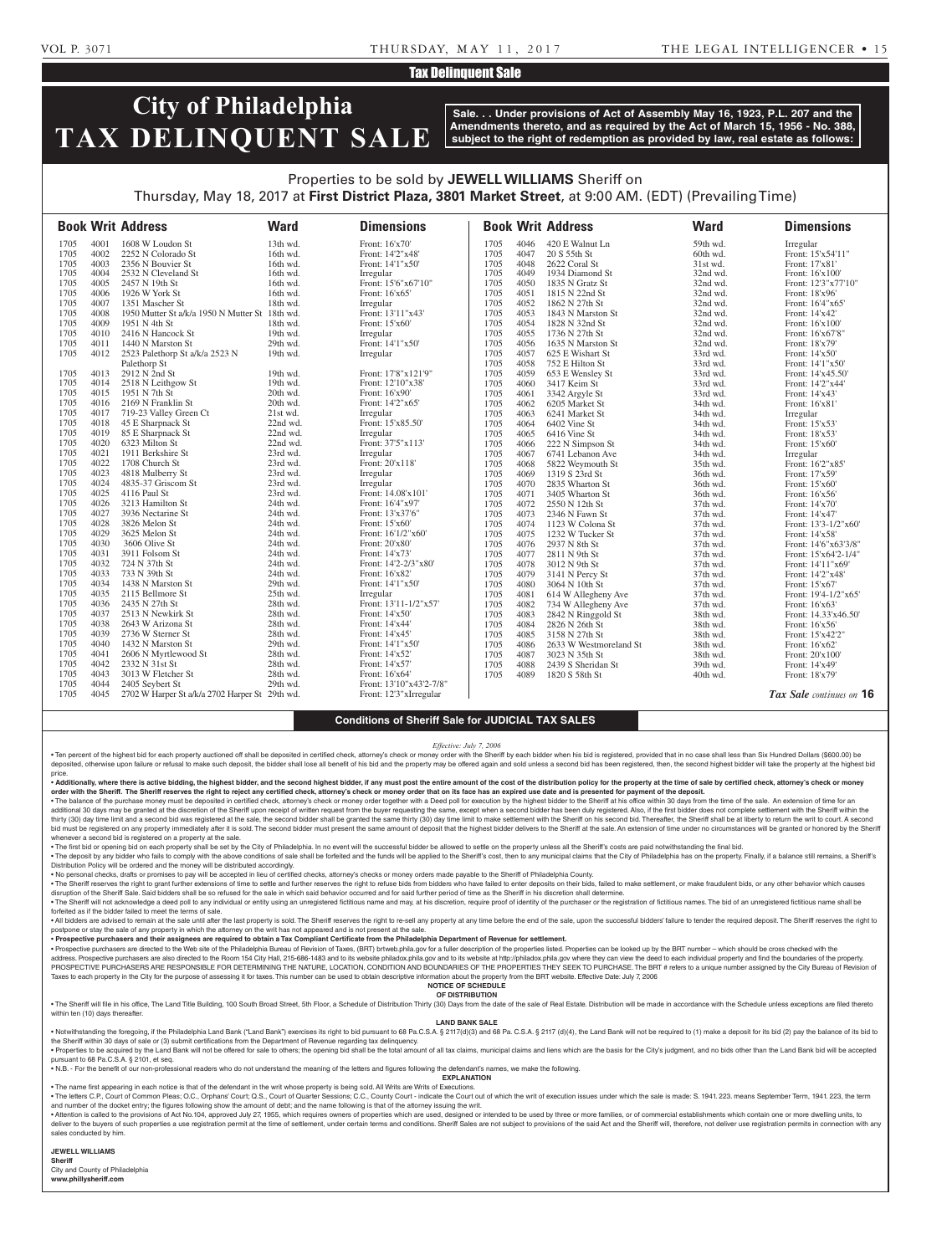## **Tax Delinquent Sale**

# **City of Philadelphia TAX DELINQUENT SALE**

**Sale. . . Under provisions of Act of Assembly May 16, 1923, P.L. 207 and the Amendments thereto, and as required by the Act of March 15, 1956 - No. 388, subject to the right of redemption as provided by law, real estate as follows:**

## Properties to be sold by **JEWELL WILLIAMS** Sheriff on Thursday, May 18, 2017 at **First District Plaza, 3801 Market Street**, at 9:00 AM. (EDT) (Prevailing Time)

|      |      | <b>Book Writ Address</b>                       | <b>Ward</b> | <b>Dimensions</b>       |      |      | <b>Book Writ Address</b> | <b>Ward</b> | <b>Dimensions</b>        |
|------|------|------------------------------------------------|-------------|-------------------------|------|------|--------------------------|-------------|--------------------------|
| 1705 | 4001 | 1608 W Loudon St                               | 13th wd.    | Front: 16'x70'          | 1705 | 4046 | 420 E Walnut Ln          | 59th wd.    | Irregular                |
| 1705 | 4002 | 2252 N Colorado St                             | 16th wd.    | Front: 14'2"x48'        | 1705 | 4047 | 20 S 55th St             | 60th wd.    | Front: 15'x54'11"        |
| 1705 | 4003 | 2356 N Bouvier St                              | 16th wd.    | Front: 14'1"x50'        | 1705 | 4048 | 2622 Coral St            | 31st wd.    | Front: 17'x81'           |
| 1705 | 4004 | 2532 N Cleveland St                            | 16th wd.    | Irregular               | 1705 | 4049 | 1934 Diamond St          | 32nd wd.    | Front: 16'x100'          |
| 1705 | 4005 | 2457 N 19th St                                 | 16th wd.    | Front: 15'6"x67'10"     | 1705 | 4050 | 1835 N Gratz St          | 32nd wd.    | Front: 12'3"x77'10"      |
| 1705 | 4006 | 1926 W York St                                 | 16th wd.    | Front: 16'x65'          | 1705 | 4051 | 1815 N 22nd St           | 32nd wd.    | Front: 18'x96'           |
| 1705 | 4007 | 1351 Mascher St                                | 18th wd.    | Irregular               | 1705 | 4052 | 1862 N 27th St           | 32nd wd.    | Front: 16'4"x65'         |
| 1705 | 4008 | 1950 Mutter St a/k/a 1950 N Mutter St 18th wd. |             | Front: 13'11"x43'       | 1705 | 4053 | 1843 N Marston St        | 32nd wd.    | Front: 14'x42'           |
| 1705 | 4009 | 1951 N 4th St                                  | 18th wd.    | Front: 15'x60'          | 1705 | 4054 | 1828 N 32nd St           | 32nd wd.    | Front: 16'x100'          |
| 1705 | 4010 | 2416 N Hancock St                              | 19th wd.    | Irregular               | 1705 | 4055 | 1736 N 27th St           | 32nd wd.    | Front: 16'x67'8"         |
| 1705 | 4011 | 1440 N Marston St                              | 29th wd.    | Front: 14'1"x50'        | 1705 | 4056 | 1635 N Marston St        | 32nd wd.    | Front: 18'x79'           |
| 1705 | 4012 | 2523 Palethorp St a/k/a 2523 N                 | 19th wd.    | Irregular               | 1705 | 4057 | 625 E Wishart St         | 33rd wd.    | Front: 14'x50'           |
|      |      | Palethorp St                                   |             |                         | 1705 | 4058 | 752 E Hilton St          | 33rd wd.    | Front: 14'1"x50'         |
| 1705 | 4013 | 2912 N 2nd St                                  | 19th wd.    | Front: 17'8"x121'9"     | 1705 | 4059 | 653 E Wensley St         | 33rd wd.    | Front: 14'x45.50'        |
| 1705 | 4014 | 2518 N Leithgow St                             | 19th wd.    | Front: 12'10"x38'       | 1705 | 4060 | 3417 Keim St             | 33rd wd.    | Front: 14'2"x44'         |
| 1705 | 4015 | 1951 N 7th St                                  | 20th wd.    | Front: 16'x90'          | 1705 | 4061 | 3342 Argyle St           | 33rd wd.    | Front: 14'x43'           |
| 1705 | 4016 | 2169 N Franklin St                             | 20th wd.    | Front: 14'2"x65'        | 1705 | 4062 | 6205 Market St           | 34th wd.    | Front: 16'x81'           |
| 1705 | 4017 | 719-23 Valley Green Ct                         | 21st wd.    | Irregular               | 1705 | 4063 | 6241 Market St           | 34th wd.    | Irregular                |
| 1705 | 4018 | 45 E Sharpnack St                              | 22nd wd.    | Front: 15'x85.50'       | 1705 | 4064 | 6402 Vine St             | 34th wd.    | Front: 15'x53'           |
| 1705 | 4019 | 85 E Sharpnack St                              | 22nd wd.    | Irregular               | 1705 | 4065 | 6416 Vine St             | 34th wd.    | Front: 18'x53'           |
| 1705 | 4020 | 6323 Milton St                                 | 22nd wd.    | Front: 37'5"x113'       | 1705 | 4066 | 222 N Simpson St         | 34th wd.    | Front: 15'x60'           |
| 1705 | 4021 | 1911 Berkshire St                              | 23rd wd.    | Irregular               | 1705 | 4067 | 6741 Lebanon Ave         | 34th wd.    | Irregular                |
| 1705 | 4022 | 1708 Church St                                 | 23rd wd.    | Front: 20'x118'         | 1705 | 4068 | 5822 Weymouth St         | 35th wd.    | Front: 16'2"x85'         |
| 1705 | 4023 | 4818 Mulberry St                               | 23rd wd.    | Irregular               | 1705 | 4069 | 1319 S 23rd St           | 36th wd.    | Front: 17'x59'           |
| 1705 | 4024 | 4835-37 Griscom St                             | 23rd wd.    | Irregular               | 1705 | 4070 | 2835 Wharton St          | 36th wd.    | Front: 15'x60'           |
| 1705 | 4025 | 4116 Paul St                                   | 23rd wd.    | Front: 14.08'x101'      | 1705 | 4071 | 3405 Wharton St          | 36th wd.    | Front: 16'x56'           |
| 1705 | 4026 | 3213 Hamilton St                               | 24th wd.    | Front: 16'4"x97'        | 1705 | 4072 | 2550 N 12th St           | 37th wd.    | Front: 14'x70'           |
| 1705 | 4027 | 3936 Nectarine St                              | 24th wd.    | Front: 13'x37'6"        | 1705 | 4073 | 2346 N Fawn St           | 37th wd.    | Front: 14'x47'           |
| 1705 | 4028 | 3826 Melon St                                  | 24th wd.    | Front: 15'x60'          | 1705 | 4074 | 1123 W Colona St         | 37th wd.    | Front: 13'3-1/2"x60'     |
| 1705 | 4029 | 3625 Melon St                                  | 24th wd.    | Front: 16'1/2"x60"      | 1705 | 4075 | 1232 W Tucker St         | 37th wd.    | Front: 14'x58'           |
| 1705 | 4030 | 3606 Olive St                                  | 24th wd.    | Front: 20'x80'          | 1705 | 4076 | 2937 N 8th St            | 37th wd.    | Front: 14'6"x63'3/8"     |
| 1705 | 4031 | 3911 Folsom St                                 | 24th wd.    | Front: 14'x73'          | 1705 | 4077 | 2811 N 9th St            | 37th wd.    | Front: 15'x64'2-1/4"     |
| 1705 | 4032 | 724 N 37th St                                  | 24th wd.    | Front: 14'2-2/3"x80'    | 1705 | 4078 | 3012 N 9th St            | 37th wd.    | Front: 14'11"x69'        |
| 1705 | 4033 | 733 N 39th St                                  | 24th wd.    | Front: 16'x82'          | 1705 | 4079 | 3141 N Percy St          | 37th wd.    | Front: 14'2"x48'         |
| 1705 | 4034 | 1438 N Marston St                              | 29th wd.    | Front: 14'1"x50'        | 1705 | 4080 | 3064 N 10th St           | 37th wd.    | Front: 15'x67'           |
| 1705 | 4035 | 2115 Bellmore St                               | 25th wd.    | Irregular               | 1705 | 4081 | 614 W Allegheny Ave      | 37th wd.    | Front: 19'4-1/2"x65"     |
| 1705 | 4036 | 2435 N 27th St                                 | 28th wd.    | Front: 13'11-1/2"x57'   | 1705 | 4082 | 734 W Allegheny Ave      | 37th wd.    | Front: 16'x63'           |
| 1705 | 4037 | 2513 N Newkirk St                              | 28th wd.    | Front: 14'x50'          | 1705 | 4083 | 2842 N Ringgold St       | 38th wd.    | Front: 14.33'x46.50'     |
| 1705 | 4038 | 2643 W Arizona St                              | 28th wd.    | Front: 14'x44'          | 1705 | 4084 | 2826 N 26th St           | 38th wd.    | Front: 16'x56'           |
| 1705 | 4039 | 2736 W Sterner St                              | 28th wd.    | Front: 14'x45'          | 1705 | 4085 | 3158 N 27th St           | 38th wd.    | Front: 15'x42'2"         |
| 1705 | 4040 | 1432 N Marston St                              | 29th wd.    | Front: 14'1"x50"        | 1705 | 4086 | 2633 W Westmoreland St   | 38th wd.    | Front: 16'x62'           |
| 1705 | 4041 | 2606 N Myrtlewood St                           | 28th wd.    | Front: 14'x52'          | 1705 | 4087 | 3023 N 35th St           | 38th wd.    | Front: 20'x100'          |
| 1705 | 4042 | 2332 N 31st St                                 | 28th wd.    | Front: 14'x57'          | 1705 | 4088 | 2439 S Sheridan St       | 39th wd.    | Front: 14'x49'           |
| 1705 | 4043 | 3013 W Fletcher St                             | 28th wd.    | Front: 16'x64'          | 1705 | 4089 | 1820 S 58th St           | 40th wd.    | Front: 18'x79'           |
| 1705 | 4044 | 2405 Seybert St                                | 29th wd.    | Front: 13'10"x43'2-7/8" |      |      |                          |             |                          |
| 1705 | 4045 | 2702 W Harper St a/k/a 2702 Harper St 29th wd. |             | Front: 12'3"xIrregular  |      |      |                          |             | Tax Sale continues on 16 |

## **Conditions of Sheriff Sale for JUDICIAL TAX SALES**

#### *Effective: July 7, 2006*

. Ten percent of the highest bid for each property auctioned off shall be deposited in certified check, attorney's check or money order with the Sheriff by each bidder when his bid is registered, provided that in no case s deposited, otherwise upon failure or refusal to make such deposit, the bidder shall lose all benefit of his bid and the property may be offered again and sold unless a second bid has been registered, then, the second highe price.

. Additionally, where there is active bidding, the highest bidder, and the second highest bidder, if any must post the entire amount of the cost of the distribution policy for the property at the time of sale by certified **order with the Sheriff. The Sheriff reserves the right to reject any certified check, attorney's check or money order that on its face has an expired use date and is presented for payment of the deposit.**

. The balance of the purchase money must be deposited in certified check, attorney's check or money order together with a Deed poll for execution by the highest bidder to the Sheriff at his office within 30 days from the t additional 30 days may be granted at the discretion of the Sheriff upon receipt of written request from the buyer requesting the same, except when a second bidder has been duly registered. Also, if the first bidder does no bid must be registered on any property immediately after it is sold. The second bidder must present the same amount of deposit that the highest bidder delivers to the Sheriff at the sale. An extension of time under no circ whenever a second bid is registered on a property at the sale.

. The first bid or opening bid on each property shall be set by the City of Philadelphia. In no event will the successful bidder be allowed to settle on the property unless all the Sheriff's costs are paid notwithstanding . The deposit by any bidder who fails to comply with the above conditions of sale shall be forfeited and the funds will be applied to the Sheriff's cost, then to any municipal claims that the City of Philadelphia has on th

Distribution Policy will be ordered and the money will be distributed accordingly. • No personal checks, drafts or promises to pay will be accepted in lieu of certified checks, attorney's checks or money orders made payable to the Sheriff of Philadelphia County.

. The Sheriff reserves the right to grant further extensions of time to settle and further reserves the right to refuse bids from bidders who have failed to enter deposits on their bids, failed to make settlement, or make disruption of the Sheriff Sale. Said bidders shall be so refused for the sale in which said behavior occurred and for said further period of time as the Sheriff in his discretion shall determine.

The Sheriff will not acknowledge a deed poll to any individual or entity using an unregistered fictitious name and may, at his discretion, require proof of identity of the purchaser or the registration of fictitious names. forfeited as if the bidder failed to meet the terms of sale.

. All bidders are advised to remain at the sale until after the last property is sold. The Sheriff reserves the right to re-sell any property at any time before the end of the sale, upon the successful bidders' failure to postpone or stay the sale of any property in which the attorney on the writ has not appeared and is not present at the sale

• **Prospective purchasers and their assignees are required to obtain a Tax Compliant Certificate from the Philadelphia Department of Revenue for settlement.**

. Prospective purchasers are directed to the Web site of the Philadelphia Bureau of Revision of Taxes, (BRT) brtweb.phila.gov for a fuller description of the properties listed. Properties can be looked up by the BRT number address. Prospective purchasers are also directed to the Room 154 City Hall, 215-686-1483 and to its website philadox.phila.gov and to its website at http://philadox.phila.gov where they can view the deed to each individua PROSPECTIVE PURCHASERS ARE RESPONSIBLE FOR DETERMINING THE NATURE, LOCATION, CONDITION AND BOUNDARIES OF THE PROPERTIES THEY SEEK TO PURCHASE. The BRT # refers to a unique number assigned by the City Bureau of Revision of Taxes to each property in the City for the purpose of assessing it for taxes. This number can be used to obtain descriptive information about the property from the BRT website. Effective Date: July 7, 2006

**NOTICE OF SCHEDULE**

**OF DISTRIBUTION** . The Sheriff will file in his office, The Land Title Building, 100 South Broad Street, 5th Floor, a Schedule of Distribution Thirty (30) Days from the date of the sale of Real Estate. Distribution will be made in accordan within ten (10) days thereafter

## **LAND BANK SALE**

• Notwithstanding the foregoing, if the Philadelphia Land Bank ("Land Bank") exercises its right to bid pursuant to 68 Pa.C.S.A. § 2117(d)(3) and 68 Pa.C.S.A. § 2117 (d)(4), the Land Bank will not be required to (1) make a the Sheriff within 30 days of sale or (3) submit certifications from the Department of Revenue regarding tax delinquency.

. Properties to be acquired by the Land Bank will not be offered for sale to others; the opening bid shall be the total amount of all tax claims, municipal claims and liens which are the basis for the City's judgment, and pursuant to 68 Pa.C.S.A. § 2101, et seq.

• N.B. - For the benefit of our non-professional readers who do not understand the meaning of the letters and figures following the defendant's names, we make the following. **EXPLANATION** 

• The name first appearing in each notice is that of the defendant in the writ whose property is being sold. All Writs are Writs of Executions.

. The letters C.P., Court of Common Pleas: O.C., Orphans' Court: Q.S., Court of Quarter Sessions: C.C., County Court - indicate the Court of Which the writ of execution issues under which the sale is made: S. 1941, 223, me and number of the docket entry; the figures following show the amount of debt; and the name following is that of the attorney issuing the writ.

. Attention is called to the provisions of Act No.104, approved July 27, 1955, which requires owners of properties which are used, designed or intended to be used by three or more families, or of commercial establishments deliver to the buyers of such properties a use registration permit at the time of settlement, under certain terms and conditions. Sheriff Sales are not subject to provisions of the said Act and the Sheriff will, therefore, sales conducted by him.

#### **JEWELL WILLIAMS**

**Sheriff**  City and County of Philadelphia

**www.phillysheriff.com**